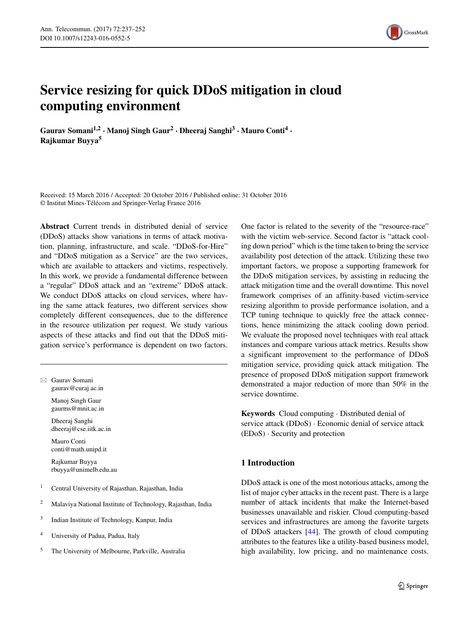

# **Service resizing for quick DDoS mitigation in cloud computing environment**

**Gaurav Somani1,2 · Manoj Singh Gaur<sup>2</sup> · Dheeraj Sanghi<sup>3</sup> · Mauro Conti<sup>4</sup> · Rajkumar Buyya<sup>5</sup>**

Received: 15 March 2016 / Accepted: 20 October 2016 / Published online: 31 October 2016 © Institut Mines-Télécom and Springer-Verlag France 2016

**Abstract** Current trends in distributed denial of service (DDoS) attacks show variations in terms of attack motivation, planning, infrastructure, and scale. "DDoS-for-Hire" and "DDoS mitigation as a Service" are the two services, which are available to attackers and victims, respectively. In this work, we provide a fundamental difference between a "regular" DDoS attack and an "extreme" DDoS attack. We conduct DDoS attacks on cloud services, where having the same attack features, two different services show completely different consequences, due to the difference in the resource utilization per request. We study various aspects of these attacks and find out that the DDoS mitigation service's performance is dependent on two factors.

- Gaurav Somani [gaurav@curaj.ac.in](mailto:gaurav@curaj.ac.in)

> Manoj Singh Gaur [gaurms@mnit.ac.in](mailto:gaurms@mnit.ac.in)

Dheeraj Sanghi [dheeraj@cse.iitk.ac.in](mailto:dheeraj@cse.iitk.ac.in)

Mauro Conti [conti@math.unipd.it](mailto:conti@math.unipd.it)

Rajkumar Buyya [rbuyya@unimelb.edu.au](mailto:rbuyya@unimelb.edu.au)

<sup>1</sup> Central University of Rajasthan, Rajasthan, India

<sup>2</sup> Malaviya National Institute of Technology, Rajasthan, India

- <sup>3</sup> Indian Institute of Technology, Kanpur, India
- <sup>4</sup> University of Padua, Padua, Italy
- <sup>5</sup> The University of Melbourne, Parkville, Australia

One factor is related to the severity of the "resource-race" with the victim web-service. Second factor is "attack cooling down period" which is the time taken to bring the service availability post detection of the attack. Utilizing these two important factors, we propose a supporting framework for the DDoS mitigation services, by assisting in reducing the attack mitigation time and the overall downtime. This novel framework comprises of an affinity-based victim-service resizing algorithm to provide performance isolation, and a TCP tuning technique to quickly free the attack connections, hence minimizing the attack cooling down period. We evaluate the proposed novel techniques with real attack instances and compare various attack metrics. Results show a significant improvement to the performance of DDoS mitigation service, providing quick attack mitigation. The presence of proposed DDoS mitigation support framework demonstrated a major reduction of more than 50% in the service downtime.

**Keywords** Cloud computing · Distributed denial of service attack (DDoS) · Economic denial of service attack (EDoS) · Security and protection

# **1 Introduction**

DDoS attack is one of the most notorious attacks, among the list of major cyber attacks in the recent past. There is a large number of attack incidents that make the Internet-based businesses unavailable and riskier. Cloud computing-based services and infrastructures are among the favorite targets of DDoS attackers [\[44\]](#page-14-0). The growth of cloud computing attributes to the features like a utility-based business model, high availability, low pricing, and no maintenance costs.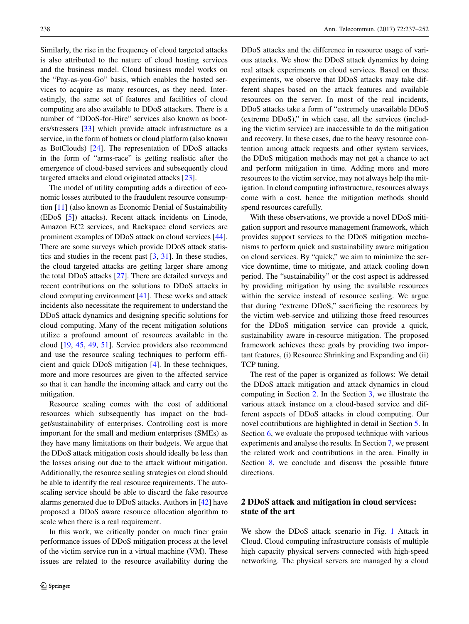Similarly, the rise in the frequency of cloud targeted attacks is also attributed to the nature of cloud hosting services and the business model. Cloud business model works on the "Pay-as-you-Go" basis, which enables the hosted services to acquire as many resources, as they need. Interestingly, the same set of features and facilities of cloud computing are also available to DDoS attackers. There is a number of "DDoS-for-Hire" services also known as booters/stressers [\[33\]](#page-14-1) which provide attack infrastructure as a service, in the form of botnets or cloud platform (also known as BotClouds) [\[24\]](#page-14-2). The representation of DDoS attacks in the form of "arms-race" is getting realistic after the emergence of cloud-based services and subsequently cloud targeted attacks and cloud originated attacks [\[23\]](#page-14-3).

The model of utility computing adds a direction of economic losses attributed to the fraudulent resource consumption [\[11\]](#page-14-4) (also known as Economic Denial of Sustainability (EDoS [\[5\]](#page-13-0)) attacks). Recent attack incidents on Linode, Amazon EC2 services, and Rackspace cloud services are prominent examples of DDoS attack on cloud services [\[44\]](#page-14-0). There are some surveys which provide DDoS attack statistics and studies in the recent past  $[3, 31]$  $[3, 31]$  $[3, 31]$ . In these studies, the cloud targeted attacks are getting larger share among the total DDoS attacks [\[27\]](#page-14-6). There are detailed surveys and recent contributions on the solutions to DDoS attacks in cloud computing environment [\[41\]](#page-14-7). These works and attack incidents also necessitate the requirement to understand the DDoS attack dynamics and designing specific solutions for cloud computing. Many of the recent mitigation solutions utilize a profound amount of resources available in the cloud [\[19,](#page-14-8) [45,](#page-14-9) [49,](#page-15-0) [51\]](#page-15-1). Service providers also recommend and use the resource scaling techniques to perform efficient and quick DDoS mitigation [\[4\]](#page-13-2). In these techniques, more and more resources are given to the affected service so that it can handle the incoming attack and carry out the mitigation.

Resource scaling comes with the cost of additional resources which subsequently has impact on the budget/sustainability of enterprises. Controlling cost is more important for the small and medium enterprises (SMEs) as they have many limitations on their budgets. We argue that the DDoS attack mitigation costs should ideally be less than the losses arising out due to the attack without mitigation. Additionally, the resource scaling strategies on cloud should be able to identify the real resource requirements. The autoscaling service should be able to discard the fake resource alarms generated due to DDoS attacks. Authors in [\[42\]](#page-14-10) have proposed a DDoS aware resource allocation algorithm to scale when there is a real requirement.

In this work, we critically ponder on much finer grain performance issues of DDoS mitigation process at the level of the victim service run in a virtual machine (VM). These issues are related to the resource availability during the DDoS attacks and the difference in resource usage of various attacks. We show the DDoS attack dynamics by doing real attack experiments on cloud services. Based on these experiments, we observe that DDoS attacks may take different shapes based on the attack features and available resources on the server. In most of the real incidents, DDoS attacks take a form of "extremely unavailable DDoS (extreme DDoS)," in which case, all the services (including the victim service) are inaccessible to do the mitigation and recovery. In these cases, due to the heavy resource contention among attack requests and other system services, the DDoS mitigation methods may not get a chance to act and perform mitigation in time. Adding more and more resources to the victim service, may not always help the mitigation. In cloud computing infrastructure, resources always come with a cost, hence the mitigation methods should spend resources carefully.

With these observations, we provide a novel DDoS mitigation support and resource management framework, which provides support services to the DDoS mitigation mechanisms to perform quick and sustainability aware mitigation on cloud services. By "quick," we aim to minimize the service downtime, time to mitigate, and attack cooling down period. The "sustainability" or the cost aspect is addressed by providing mitigation by using the available resources within the service instead of resource scaling. We argue that during "extreme DDoS," sacrificing the resources by the victim web-service and utilizing those freed resources for the DDoS mitigation service can provide a quick, sustainability aware in-resource mitigation. The proposed framework achieves these goals by providing two important features, (i) Resource Shrinking and Expanding and (ii) TCP tuning.

The rest of the paper is organized as follows: We detail the DDoS attack mitigation and attack dynamics in cloud computing in Section [2.](#page-1-0) In the Section [3,](#page-3-0) we illustrate the various attack instance on a cloud-based service and different aspects of DDoS attacks in cloud computing. Our novel contributions are highlighted in detail in Section [5.](#page-7-0) In Section [6,](#page-9-0) we evaluate the proposed technique with various experiments and analyse the results. In Section [7,](#page-12-0) we present the related work and contributions in the area. Finally in Section [8,](#page-13-3) we conclude and discuss the possible future directions.

# <span id="page-1-0"></span>**2 DDoS attack and mitigation in cloud services: state of the art**

We show the DDoS attack scenario in Fig. [1](#page-2-0) Attack in Cloud. Cloud computing infrastructure consists of multiple high capacity physical servers connected with high-speed networking. The physical servers are managed by a cloud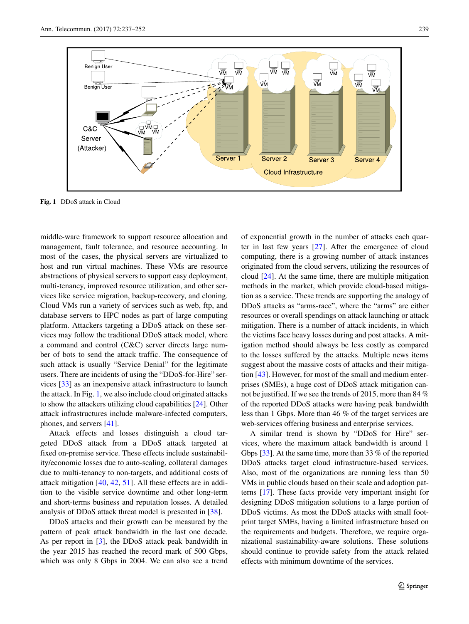<span id="page-2-0"></span>

**Fig. 1** DDoS attack in Cloud

middle-ware framework to support resource allocation and management, fault tolerance, and resource accounting. In most of the cases, the physical servers are virtualized to host and run virtual machines. These VMs are resource abstractions of physical servers to support easy deployment, multi-tenancy, improved resource utilization, and other services like service migration, backup-recovery, and cloning. Cloud VMs run a variety of services such as web, ftp, and database servers to HPC nodes as part of large computing platform. Attackers targeting a DDoS attack on these services may follow the traditional DDoS attack model, where a command and control (C&C) server directs large number of bots to send the attack traffic. The consequence of such attack is usually "Service Denial" for the legitimate users. There are incidents of using the "DDoS-for-Hire" services [\[33\]](#page-14-1) as an inexpensive attack infrastructure to launch the attack. In Fig. [1,](#page-2-0) we also include cloud originated attacks to show the attackers utilizing cloud capabilities [\[24\]](#page-14-2). Other attack infrastructures include malware-infected computers, phones, and servers [\[41\]](#page-14-7).

Attack effects and losses distinguish a cloud targeted DDoS attack from a DDoS attack targeted at fixed on-premise service. These effects include sustainability/economic losses due to auto-scaling, collateral damages due to multi-tenancy to non-targets, and additional costs of attack mitigation [\[40,](#page-14-11) [42,](#page-14-10) [51\]](#page-15-1). All these effects are in addition to the visible service downtime and other long-term and short-terms business and reputation losses. A detailed analysis of DDoS attack threat model is presented in [\[38\]](#page-14-12).

DDoS attacks and their growth can be measured by the pattern of peak attack bandwidth in the last one decade. As per report in [\[3\]](#page-13-1), the DDoS attack peak bandwidth in the year 2015 has reached the record mark of 500 Gbps, which was only 8 Gbps in 2004. We can also see a trend of exponential growth in the number of attacks each quarter in last few years [\[27\]](#page-14-6). After the emergence of cloud computing, there is a growing number of attack instances originated from the cloud servers, utilizing the resources of cloud [\[24\]](#page-14-2). At the same time, there are multiple mitigation methods in the market, which provide cloud-based mitigation as a service. These trends are supporting the analogy of DDoS attacks as "arms-race", where the "arms" are either resources or overall spendings on attack launching or attack mitigation. There is a number of attack incidents, in which the victims face heavy losses during and post attacks. A mitigation method should always be less costly as compared to the losses suffered by the attacks. Multiple news items suggest about the massive costs of attacks and their mitigation [\[43\]](#page-14-13). However, for most of the small and medium enterprises (SMEs), a huge cost of DDoS attack mitigation cannot be justified. If we see the trends of 2015, more than 84 % of the reported DDoS attacks were having peak bandwidth less than 1 Gbps. More than 46 % of the target services are web-services offering business and enterprise services.

A similar trend is shown by "DDoS for Hire" services, where the maximum attack bandwidth is around 1 Gbps [\[33\]](#page-14-1). At the same time, more than 33 % of the reported DDoS attacks target cloud infrastructure-based services. Also, most of the organizations are running less than 50 VMs in public clouds based on their scale and adoption patterns [\[17\]](#page-14-14). These facts provide very important insight for designing DDoS mitigation solutions to a large portion of DDoS victims. As most the DDoS attacks with small footprint target SMEs, having a limited infrastructure based on the requirements and budgets. Therefore, we require organizational sustainability-aware solutions. These solutions should continue to provide safety from the attack related effects with minimum downtime of the services.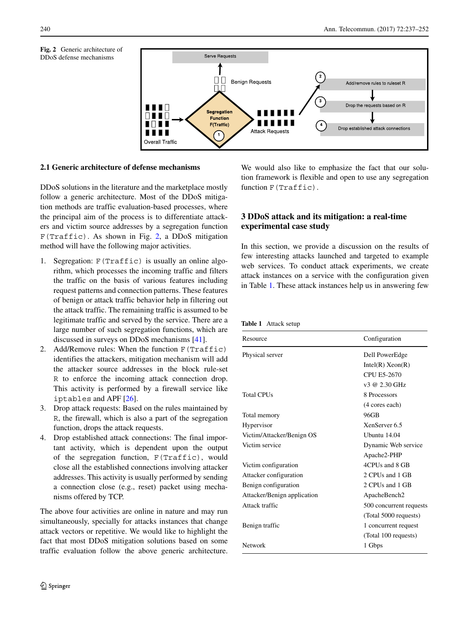<span id="page-3-1"></span>**Fig. 2** Generic architecture of DDoS defense mechanisms





#### **2.1 Generic architecture of defense mechanisms**

DDoS solutions in the literature and the marketplace mostly follow a generic architecture. Most of the DDoS mitigation methods are traffic evaluation-based processes, where the principal aim of the process is to differentiate attackers and victim source addresses by a segregation function F(Traffic). As shown in Fig. [2,](#page-3-1) a DDoS mitigation method will have the following major activities.

- 1. Segregation: F(Traffic) is usually an online algorithm, which processes the incoming traffic and filters the traffic on the basis of various features including request patterns and connection patterns. These features of benign or attack traffic behavior help in filtering out the attack traffic. The remaining traffic is assumed to be legitimate traffic and served by the service. There are a large number of such segregation functions, which are discussed in surveys on DDoS mechanisms [\[41\]](#page-14-7).
- 2. Add/Remove rules: When the function F(Traffic) identifies the attackers, mitigation mechanism will add the attacker source addresses in the block rule-set R to enforce the incoming attack connection drop. This activity is performed by a firewall service like iptables and APF [\[26\]](#page-14-15).
- 3. Drop attack requests: Based on the rules maintained by R, the firewall, which is also a part of the segregation function, drops the attack requests.
- 4. Drop established attack connections: The final important activity, which is dependent upon the output of the segregation function, F(Traffic), would close all the established connections involving attacker addresses. This activity is usually performed by sending a connection close (e.g., reset) packet using mechanisms offered by TCP.

The above four activities are online in nature and may run simultaneously, specially for attacks instances that change attack vectors or repetitive. We would like to highlight the fact that most DDoS mitigation solutions based on some traffic evaluation follow the above generic architecture.

We would also like to emphasize the fact that our solution framework is flexible and open to use any segregation function F(Traffic).

# <span id="page-3-0"></span>**3 DDoS attack and its mitigation: a real-time experimental case study**

In this section, we provide a discussion on the results of few interesting attacks launched and targeted to example web services. To conduct attack experiments, we create attack instances on a service with the configuration given in Table [1.](#page-3-2) These attack instances help us in answering few

#### <span id="page-3-2"></span>**Table 1** Attack setup

| Resource                    | Configuration           |
|-----------------------------|-------------------------|
| Physical server             | Dell PowerEdge          |
|                             | Intel(R) Xeon(R)        |
|                             | <b>CPU E5-2670</b>      |
|                             | v3 @ 2.30 GHz           |
| <b>Total CPUs</b>           | 8 Processors            |
|                             | (4 cores each)          |
| Total memory                | 96GB                    |
| Hypervisor                  | XenServer 6.5           |
| Victim/Attacker/Benign OS   | Ubuntu 14.04            |
| Victim service              | Dynamic Web service     |
|                             | Apache2-PHP             |
| Victim configuration        | 4CPUs and 8 GB          |
| Attacker configuration      | 2 CPUs and 1 GB         |
| Benign configuration        | 2 CPUs and 1 GB         |
| Attacker/Benign application | ApacheBench2            |
| Attack traffic              | 500 concurrent requests |
|                             | (Total 5000 requests)   |
| Benign traffic              | 1 concurrent request    |
|                             | (Total 100 requests)    |
| Network                     | 1 Gbps                  |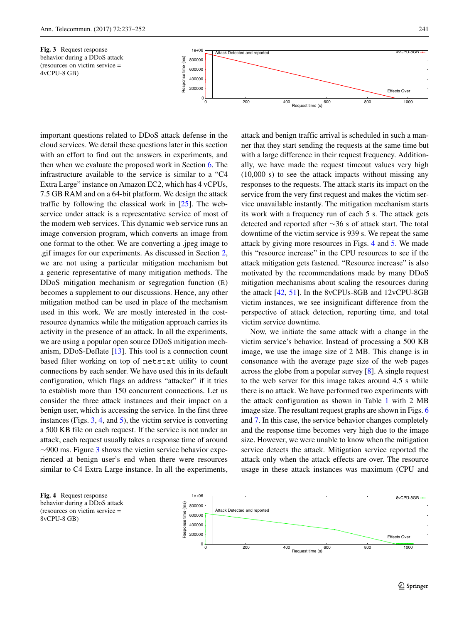<span id="page-4-0"></span>

important questions related to DDoS attack defense in the cloud services. We detail these questions later in this section with an effort to find out the answers in experiments, and then when we evaluate the proposed work in Section [6.](#page-9-0) The infrastructure available to the service is similar to a "C4 Extra Large" instance on Amazon EC2, which has 4 vCPUs, 7.5 GB RAM and on a 64-bit platform. We design the attack traffic by following the classical work in  $[25]$ . The webservice under attack is a representative service of most of the modern web services. This dynamic web service runs an image conversion program, which converts an image from one format to the other. We are converting a .jpeg image to .gif images for our experiments. As discussed in Section [2,](#page-1-0) we are not using a particular mitigation mechanism but a generic representative of many mitigation methods. The DDoS mitigation mechanism or segregation function (R) becomes a supplement to our discussions. Hence, any other mitigation method can be used in place of the mechanism used in this work. We are mostly interested in the costresource dynamics while the mitigation approach carries its activity in the presence of an attack. In all the experiments, we are using a popular open source DDoS mitigation mechanism, DDoS-Deflate [\[13\]](#page-14-17). This tool is a connection count based filter working on top of netstat utility to count connections by each sender. We have used this in its default configuration, which flags an address "attacker" if it tries to establish more than 150 concurrent connections. Let us consider the three attack instances and their impact on a benign user, which is accessing the service. In the first three instances (Figs. [3,](#page-4-0) [4,](#page-4-1) and [5\)](#page-5-0), the victim service is converting a 500 KB file on each request. If the service is not under an attack, each request usually takes a response time of around  $\sim$ 900 ms. Figure [3](#page-4-0) shows the victim service behavior experienced at benign user's end when there were resources similar to C4 Extra Large instance. In all the experiments,

attack and benign traffic arrival is scheduled in such a manner that they start sending the requests at the same time but with a large difference in their request frequency. Additionally, we have made the request timeout values very high (10,000 s) to see the attack impacts without missing any responses to the requests. The attack starts its impact on the service from the very first request and makes the victim service unavailable instantly. The mitigation mechanism starts its work with a frequency run of each 5 s. The attack gets detected and reported after ∼36 s of attack start. The total downtime of the victim service is 939 s. We repeat the same attack by giving more resources in Figs. [4](#page-4-1) and [5.](#page-5-0) We made this "resource increase" in the CPU resources to see if the attack mitigation gets fastened. "Resource increase" is also motivated by the recommendations made by many DDoS mitigation mechanisms about scaling the resources during the attack [\[42,](#page-14-10) [51\]](#page-15-1). In the 8vCPUs-8GB and 12vCPU-8GB victim instances, we see insignificant difference from the perspective of attack detection, reporting time, and total victim service downtime.

Now, we initiate the same attack with a change in the victim service's behavior. Instead of processing a 500 KB image, we use the image size of 2 MB. This change is in consonance with the average page size of the web pages across the globe from a popular survey [\[8\]](#page-14-18). A single request to the web server for this image takes around 4.5 s while there is no attack. We have performed two experiments with the attack configuration as shown in Table [1](#page-3-2) with 2 MB image size. The resultant request graphs are shown in Figs. [6](#page-5-1) and [7.](#page-6-0) In this case, the service behavior changes completely and the response time becomes very high due to the image size. However, we were unable to know when the mitigation service detects the attack. Mitigation service reported the attack only when the attack effects are over. The resource usage in these attack instances was maximum (CPU and

<span id="page-4-1"></span>

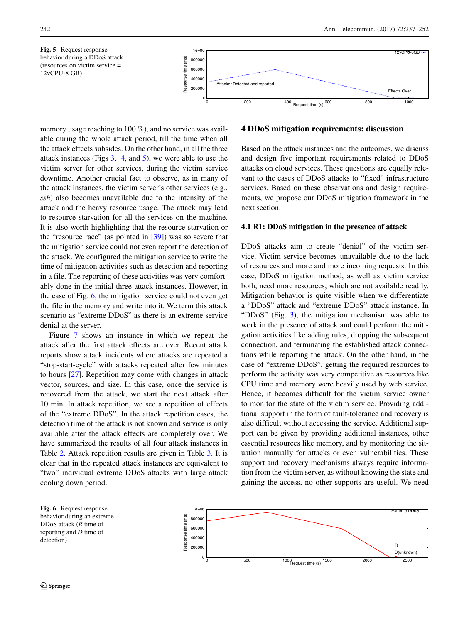<span id="page-5-0"></span>**Fig. 5** Request response behavior during a DDoS attack (resources on victim service = 12vCPU-8 GB)



memory usage reaching to 100 %), and no service was available during the whole attack period, till the time when all the attack effects subsides. On the other hand, in all the three attack instances (Figs [3,](#page-4-0) [4,](#page-4-1) and [5\)](#page-5-0), we were able to use the victim server for other services, during the victim service downtime. Another crucial fact to observe, as in many of the attack instances, the victim server's other services (e.g., *ssh*) also becomes unavailable due to the intensity of the attack and the heavy resource usage. The attack may lead to resource starvation for all the services on the machine. It is also worth highlighting that the resource starvation or the "resource race" (as pointed in [\[39\]](#page-14-19)) was so severe that the mitigation service could not even report the detection of the attack. We configured the mitigation service to write the time of mitigation activities such as detection and reporting in a file. The reporting of these activities was very comfortably done in the initial three attack instances. However, in the case of Fig. [6,](#page-5-1) the mitigation service could not even get the file in the memory and write into it. We term this attack scenario as "extreme DDoS" as there is an extreme service denial at the server.

Figure [7](#page-6-0) shows an instance in which we repeat the attack after the first attack effects are over. Recent attack reports show attack incidents where attacks are repeated a "stop-start-cycle" with attacks repeated after few minutes to hours [\[27\]](#page-14-6). Repetition may come with changes in attack vector, sources, and size. In this case, once the service is recovered from the attack, we start the next attack after 10 min. In attack repetition, we see a repetition of effects of the "extreme DDoS". In the attack repetition cases, the detection time of the attack is not known and service is only available after the attack effects are completely over. We have summarized the results of all four attack instances in Table [2.](#page-6-1) Attack repetition results are given in Table [3.](#page-7-1) It is clear that in the repeated attack instances are equivalent to "two" individual extreme DDoS attacks with large attack cooling down period.

## <span id="page-5-2"></span>**4 DDoS mitigation requirements: discussion**

Based on the attack instances and the outcomes, we discuss and design five important requirements related to DDoS attacks on cloud services. These questions are equally relevant to the cases of DDoS attacks to "fixed" infrastructure services. Based on these observations and design requirements, we propose our DDoS mitigation framework in the next section.

#### **4.1 R1: DDoS mitigation in the presence of attack**

DDoS attacks aim to create "denial" of the victim service. Victim service becomes unavailable due to the lack of resources and more and more incoming requests. In this case, DDoS mitigation method, as well as victim service both, need more resources, which are not available readily. Mitigation behavior is quite visible when we differentiate a "DDoS" attack and "extreme DDoS" attack instance. In "DDoS" (Fig. [3\)](#page-4-0), the mitigation mechanism was able to work in the presence of attack and could perform the mitigation activities like adding rules, dropping the subsequent connection, and terminating the established attack connections while reporting the attack. On the other hand, in the case of "extreme DDoS", getting the required resources to perform the activity was very competitive as resources like CPU time and memory were heavily used by web service. Hence, it becomes difficult for the victim service owner to monitor the state of the victim service. Providing additional support in the form of fault-tolerance and recovery is also difficult without accessing the service. Additional support can be given by providing additional instances, other essential resources like memory, and by monitoring the situation manually for attacks or even vulnerabilities. These support and recovery mechanisms always require information from the victim server, as without knowing the state and gaining the access, no other supports are useful. We need

<span id="page-5-1"></span>**Fig. 6** Request response behavior during an extreme DDoS attack (*R* time of reporting and *D* time of detection)

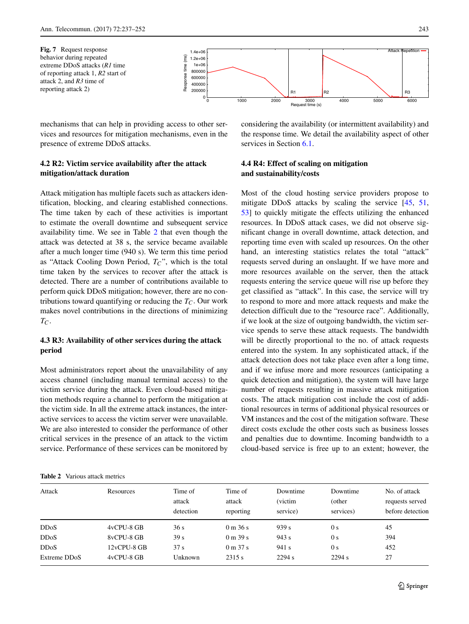<span id="page-6-0"></span>

mechanisms that can help in providing access to other services and resources for mitigation mechanisms, even in the presence of extreme DDoS attacks.

 400000 600000 800000 1e+06  $1.2e+0f$ 1.4e+06

 $(ms)$ ime

# **4.2 R2: Victim service availability after the attack mitigation/attack duration**

Attack mitigation has multiple facets such as attackers identification, blocking, and clearing established connections. The time taken by each of these activities is important to estimate the overall downtime and subsequent service availability time. We see in Table [2](#page-6-1) that even though the attack was detected at 38 s, the service became available after a much longer time (940 s). We term this time period as "Attack Cooling Down Period, *TC*", which is the total time taken by the services to recover after the attack is detected. There are a number of contributions available to perform quick DDoS mitigation; however, there are no contributions toward quantifying or reducing the  $T_C$ . Our work makes novel contributions in the directions of minimizing  $T_{C}$ .

# **4.3 R3: Availability of other services during the attack period**

Most administrators report about the unavailability of any access channel (including manual terminal access) to the victim service during the attack. Even cloud-based mitigation methods require a channel to perform the mitigation at the victim side. In all the extreme attack instances, the interactive services to access the victim server were unavailable. We are also interested to consider the performance of other critical services in the presence of an attack to the victim service. Performance of these services can be monitored by

<span id="page-6-1"></span>

Response time (ms) Response t 200000 R1 R2 R3  $\overline{0}$  0 1000 2000 3000 4000 5000 6000 Request time (s) considering the availability (or intermittent availability) and the response time. We detail the availability aspect of other

services in Section [6.1.](#page-10-0)

# **4.4 R4: Effect of scaling on mitigation and sustainability/costs**

Most of the cloud hosting service providers propose to mitigate DDoS attacks by scaling the service [\[45,](#page-14-9) [51,](#page-15-1) [53\]](#page-15-2) to quickly mitigate the effects utilizing the enhanced resources. In DDoS attack cases, we did not observe significant change in overall downtime, attack detection, and reporting time even with scaled up resources. On the other hand, an interesting statistics relates the total "attack" requests served during an onslaught. If we have more and more resources available on the server, then the attack requests entering the service queue will rise up before they get classified as "attack". In this case, the service will try to respond to more and more attack requests and make the detection difficult due to the "resource race". Additionally, if we look at the size of outgoing bandwidth, the victim service spends to serve these attack requests. The bandwidth will be directly proportional to the no. of attack requests entered into the system. In any sophisticated attack, if the attack detection does not take place even after a long time, and if we infuse more and more resources (anticipating a quick detection and mitigation), the system will have large number of requests resulting in massive attack mitigation costs. The attack mitigation cost include the cost of additional resources in terms of additional physical resources or VM instances and the cost of the mitigation software. These direct costs exclude the other costs such as business losses and penalties due to downtime. Incoming bandwidth to a cloud-based service is free up to an extent; however, the

| Attack       | Resources   | Time of<br>attack<br>detection | Time of<br>attack<br>reporting | Downtime<br>(victim<br>service) | Downtime<br>(other<br>services) | No. of attack<br>requests served<br>before detection |
|--------------|-------------|--------------------------------|--------------------------------|---------------------------------|---------------------------------|------------------------------------------------------|
| DDoS         | 4vCPU-8 GB  | 36s                            | $0 \text{ m } 36 \text{ s}$    | 939 s                           | 0 <sub>s</sub>                  | 45                                                   |
| <b>DDoS</b>  | 8vCPU-8 GB  | 39 <sub>s</sub>                | 0 m 39 s                       | 943 s                           | 0 <sub>s</sub>                  | 394                                                  |
| <b>DDoS</b>  | 12vCPU-8 GB | 37 <sub>s</sub>                | 0 m 37 s                       | 941 s                           | 0 <sub>s</sub>                  | 452                                                  |
| Extreme DDoS | 4vCPU-8 GB  | Unknown                        | 2315 s                         | 2294 s                          | 2294 s                          | 27                                                   |

Attack Repetition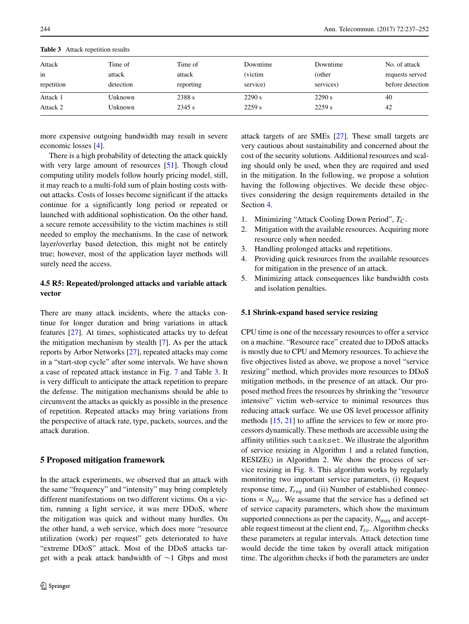| Attack     | Time of   | Time of   | Downtime | Downtime  | No. of attack    |
|------------|-----------|-----------|----------|-----------|------------------|
| in         | attack    | attack    | (victim  | (other    | requests served  |
| repetition | detection | reporting | service) | services) | before detection |
| Attack 1   | Unknown   | 2388 s    | 2290 s   | 2290 s    | 40               |
| Attack 2   | Unknown   | 2345s     | 2259 s   | $2259$ s  | 42               |

<span id="page-7-1"></span>**Table 3** Attack repetition results

more expensive outgoing bandwidth may result in severe economic losses [\[4\]](#page-13-2).

There is a high probability of detecting the attack quickly with very large amount of resources [\[51\]](#page-15-1). Though cloud computing utility models follow hourly pricing model, still, it may reach to a multi-fold sum of plain hosting costs without attacks. Costs of losses become significant if the attacks continue for a significantly long period or repeated or launched with additional sophistication. On the other hand, a secure remote accessibility to the victim machines is still needed to employ the mechanisms. In the case of network layer/overlay based detection, this might not be entirely true; however, most of the application layer methods will surely need the access.

## **4.5 R5: Repeated/prolonged attacks and variable attack vector**

There are many attack incidents, where the attacks continue for longer duration and bring variations in attack features [\[27\]](#page-14-6). At times, sophisticated attacks try to defeat the mitigation mechanism by stealth [\[7\]](#page-14-20). As per the attack reports by Arbor Networks [\[27\]](#page-14-6), repeated attacks may come in a "start-stop cycle" after some intervals. We have shown a case of repeated attack instance in Fig. [7](#page-6-0) and Table [3.](#page-7-1) It is very difficult to anticipate the attack repetition to prepare the defense. The mitigation mechanisms should be able to circumvent the attacks as quickly as possible in the presence of repetition. Repeated attacks may bring variations from the perspective of attack rate, type, packets, sources, and the attack duration.

#### <span id="page-7-0"></span>**5 Proposed mitigation framework**

In the attack experiments, we observed that an attack with the same "frequency" and "intensity" may bring completely different manifestations on two different victims. On a victim, running a light service, it was mere DDoS, where the mitigation was quick and without many hurdles. On the other hand, a web service, which does more "resource utilization (work) per request" gets deteriorated to have "extreme DDoS" attack. Most of the DDoS attacks target with a peak attack bandwidth of ∼1 Gbps and most attack targets of are SMEs [\[27\]](#page-14-6). These small targets are very cautious about sustainability and concerned about the cost of the security solutions. Additional resources and scaling should only be used, when they are required and used in the mitigation. In the following, we propose a solution having the following objectives. We decide these objectives considering the design requirements detailed in the Section [4.](#page-5-2)

- 1. Minimizing "Attack Cooling Down Period", *TC*.
- 2. Mitigation with the available resources. Acquiring more resource only when needed.
- 3. Handling prolonged attacks and repetitions.
- 4. Providing quick resources from the available resources for mitigation in the presence of an attack.
- 5. Minimizing attack consequences like bandwidth costs and isolation penalties.

#### **5.1 Shrink-expand based service resizing**

CPU time is one of the necessary resources to offer a service on a machine. "Resource race" created due to DDoS attacks is mostly due to CPU and Memory resources. To achieve the five objectives listed as above, we propose a novel "service resizing" method, which provides more resources to DDoS mitigation methods, in the presence of an attack. Our proposed method frees the resources by shrinking the "resource intensive" victim web-service to minimal resources thus reducing attack surface. We use OS level processor affinity methods [\[15,](#page-14-21) [21\]](#page-14-22) to affine the services to few or more processors dynamically. These methods are accessible using the affinity utilities such taskset. We illustrate the algorithm of service resizing in Algorithm 1 and a related function, RESIZE() in Algorithm 2. We show the process of service resizing in Fig. [8.](#page-8-0) This algorithm works by regularly monitoring two important service parameters, (i) Request response time, *Treq* and (ii) Number of established connections =  $N_{est}$ . We assume that the service has a defined set of service capacity parameters, which show the maximum supported connections as per the capacity, *N*max and acceptable request timeout at the client end,  $T_{to}$ . Algorithm checks these parameters at regular intervals. Attack detection time would decide the time taken by overall attack mitigation time. The algorithm checks if both the parameters are under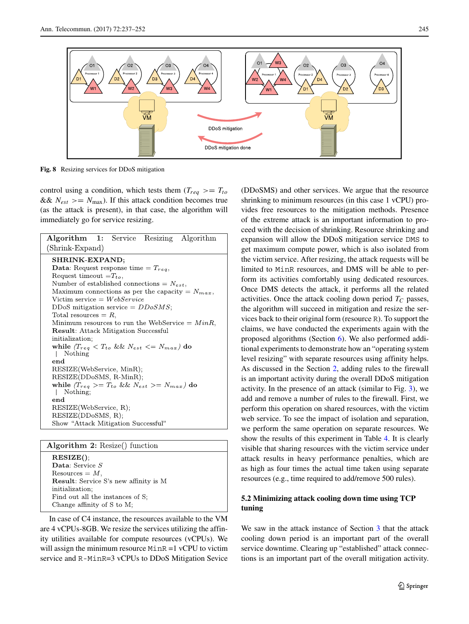<span id="page-8-0"></span>

**Fig. 8** Resizing services for DDoS mitigation

control using a condition, which tests them  $(T_{req} \geq T_{to})$ &&  $N_{est}$  >=  $N_{max}$ ). If this attack condition becomes true (as the attack is present), in that case, the algorithm will immediately go for service resizing.

| <b>Algorithm 1:</b> Service Resizing Algorithm             |                           |  |  |  |  |  |  |  |
|------------------------------------------------------------|---------------------------|--|--|--|--|--|--|--|
| (Shrink-Expand)                                            |                           |  |  |  |  |  |  |  |
| SHRINK-EXPAND;                                             |                           |  |  |  |  |  |  |  |
| <b>Data:</b> Request response time $=T_{rea}$ ,            |                           |  |  |  |  |  |  |  |
| Request timeout $=T_{to}$ ,                                |                           |  |  |  |  |  |  |  |
| Number of established connections = $N_{est}$ ,            |                           |  |  |  |  |  |  |  |
| Maximum connections as per the capacity $=N_{max}$ ,       |                           |  |  |  |  |  |  |  |
| Victim service = $WebService$                              |                           |  |  |  |  |  |  |  |
| DDoS mitigation service = $DDoS$ .                         |                           |  |  |  |  |  |  |  |
| Total resources $=R$ ,                                     |                           |  |  |  |  |  |  |  |
| Minimum resources to run the WebService $= MinR$ ,         |                           |  |  |  |  |  |  |  |
| <b>Result:</b> Attack Mitigation Successful                |                           |  |  |  |  |  |  |  |
| initialization:                                            |                           |  |  |  |  |  |  |  |
| while $(T_{rea} < T_{to} \&\& N_{est} <= N_{max})$ do      |                           |  |  |  |  |  |  |  |
| Nothing                                                    |                           |  |  |  |  |  |  |  |
| end                                                        |                           |  |  |  |  |  |  |  |
|                                                            | RESIZE(WebService, MinR); |  |  |  |  |  |  |  |
| RESIZE(DDoSMS, R-MinR);                                    |                           |  |  |  |  |  |  |  |
| while $(T_{req} \geq T_{to} \&\& N_{est} \geq N_{max})$ do |                           |  |  |  |  |  |  |  |
| Nothing:                                                   |                           |  |  |  |  |  |  |  |
| end                                                        |                           |  |  |  |  |  |  |  |
| RESIZE(WebService, R);                                     |                           |  |  |  |  |  |  |  |
| RESIZE(DDoSMS, R);                                         |                           |  |  |  |  |  |  |  |
| Show "Attack Mitigation Successful"                        |                           |  |  |  |  |  |  |  |

**Algorithm 2:** Resize() function  $RESIZE()$ Data: Service  $S$ Resources =  $M$ , Result: Service S's new affinity is M initialization; Find out all the instances of S; Change affinity of S to M;

In case of C4 instance, the resources available to the VM are 4 vCPUs-8GB. We resize the services utilizing the affinity utilities available for compute resources (vCPUs). We will assign the minimum resource MinR =1 vCPU to victim service and R-MinR=3 vCPUs to DDoS Mitigation Sevice (DDoSMS) and other services. We argue that the resource shrinking to minimum resources (in this case 1 vCPU) provides free resources to the mitigation methods. Presence of the extreme attack is an important information to proceed with the decision of shrinking. Resource shrinking and expansion will allow the DDoS mitigation service DMS to get maximum compute power, which is also isolated from the victim service. After resizing, the attack requests will be limited to MinR resources, and DMS will be able to perform its activities comfortably using dedicated resources. Once DMS detects the attack, it performs all the related activities. Once the attack cooling down period  $T_C$  passes, the algorithm will succeed in mitigation and resize the services back to their original form (resource R). To support the claims, we have conducted the experiments again with the proposed algorithms (Section [6\)](#page-9-0). We also performed additional experiments to demonstrate how an "operating system level resizing" with separate resources using affinity helps. As discussed in the Section [2,](#page-1-0) adding rules to the firewall is an important activity during the overall DDoS mitigation activity. In the presence of an attack (similar to Fig. [3\)](#page-4-0), we add and remove a number of rules to the firewall. First, we perform this operation on shared resources, with the victim web service. To see the impact of isolation and separation, we perform the same operation on separate resources. We show the results of this experiment in Table [4.](#page-9-1) It is clearly visible that sharing resources with the victim service under attack results in heavy performance penalties, which are as high as four times the actual time taken using separate resources (e.g., time required to add/remove 500 rules).

# **5.2 Minimizing attack cooling down time using TCP tuning**

We saw in the attack instance of Section [3](#page-3-0) that the attack cooling down period is an important part of the overall service downtime. Clearing up "established" attack connections is an important part of the overall mitigation activity.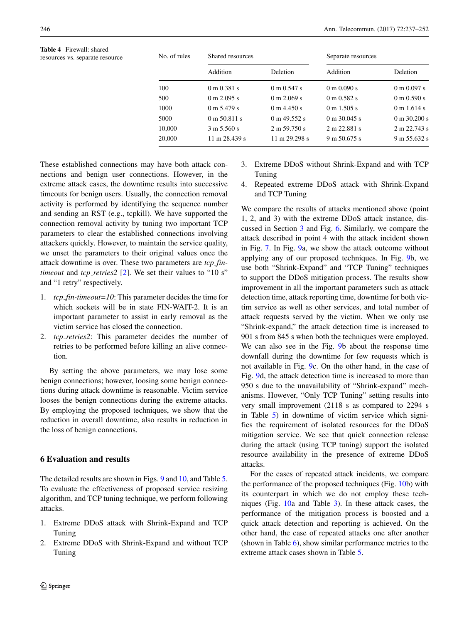#### <span id="page-9-1"></span>**Table 4** Firewall: shared resources vs. separate resource

| No. of rules | Shared resources               |                                | Separate resources |                                 |  |
|--------------|--------------------------------|--------------------------------|--------------------|---------------------------------|--|
|              | Addition                       | Deletion                       | Addition           | Deletion                        |  |
| 100          | $0 \text{ m} 0.381 \text{ s}$  | $0 \text{ m}$ 0.547 s          | 0 m $0.090 s$      | $0 \text{ m}$ 0.097 s           |  |
| 500          | $0 \text{ m } 2.095 \text{ s}$ | $0 \text{ m } 2.069 \text{ s}$ | 0 m $0.582$ s      | 0 m $0.590 s$                   |  |
| 1000         | 0 m $5.479$ s                  | 0 m $4.450$ s                  | 0 m $1.505$ s      | $0 \text{ m} 1.614 \text{ s}$   |  |
| 5000         | $0 \text{ m}$ 50.811 s         | 0 m 49.552 s                   | 0 m $30.045$ s     | $0 \text{ m } 30.200 \text{ s}$ |  |
| 10,000       | $3 \text{ m} 5.560 \text{ s}$  | 2 m 59.750 s                   | 2 m 22.881 s       | 2 m 22.743 s                    |  |
| 20,000       | 11 m 28.439 s                  | 11 m $29.298 s$                | 9 m $50.675$ s     | 9 m $55.632$ s                  |  |

These established connections may have both attack connections and benign user connections. However, in the extreme attack cases, the downtime results into successive timeouts for benign users. Usually, the connection removal activity is performed by identifying the sequence number and sending an RST (e.g., tcpkill). We have supported the connection removal activity by tuning two important TCP parameters to clear the established connections involving attackers quickly. However, to maintain the service quality, we unset the parameters to their original values once the attack downtime is over. These two parameters are *tcp fintimeout* and *tcp\_retries2* [\[2\]](#page-13-4). We set their values to "10 s" and "1 retry" respectively.

- 1. *tcp fin-timeout=10*: This parameter decides the time for which sockets will be in state FIN-WAIT-2. It is an important parameter to assist in early removal as the victim service has closed the connection.
- 2. *tcp\_retries2*: This parameter decides the number of retries to be performed before killing an alive connection.

By setting the above parameters, we may lose some benign connections; however, loosing some benign connections during attack downtime is reasonable. Victim service looses the benign connections during the extreme attacks. By employing the proposed techniques, we show that the reduction in overall downtime, also results in reduction in the loss of benign connections.

# <span id="page-9-0"></span>**6 Evaluation and results**

The detailed results are shown in Figs. [9](#page-10-1) and [10,](#page-10-2) and Table [5.](#page-11-0) To evaluate the effectiveness of proposed service resizing algorithm, and TCP tuning technique, we perform following attacks.

- 1. Extreme DDoS attack with Shrink-Expand and TCP Tuning
- 2. Extreme DDoS with Shrink-Expand and without TCP Tuning
- 3. Extreme DDoS without Shrink-Expand and with TCP Tuning
- 4. Repeated extreme DDoS attack with Shrink-Expand and TCP Tuning

We compare the results of attacks mentioned above (point 1, 2, and 3) with the extreme DDoS attack instance, discussed in Section [3](#page-3-0) and Fig. [6.](#page-5-1) Similarly, we compare the attack described in point 4 with the attack incident shown in Fig. [7.](#page-6-0) In Fig. [9a](#page-10-1), we show the attack outcome without applying any of our proposed techniques. In Fig. [9b](#page-10-1), we use both "Shrink-Expand" and "TCP Tuning" techniques to support the DDoS mitigation process. The results show improvement in all the important parameters such as attack detection time, attack reporting time, downtime for both victim service as well as other services, and total number of attack requests served by the victim. When we only use "Shrink-expand," the attack detection time is increased to 901 s from 845 s when both the techniques were employed. We can also see in the Fig. [9b](#page-10-1) about the response time downfall during the downtime for few requests which is not available in Fig. [9c](#page-10-1). On the other hand, in the case of Fig. [9d](#page-10-1), the attack detection time is increased to more than 950 s due to the unavailability of "Shrink-expand" mechanisms. However, "Only TCP Tuning" setting results into very small improvement (2118 s as compared to 2294 s in Table [5\)](#page-11-0) in downtime of victim service which signifies the requirement of isolated resources for the DDoS mitigation service. We see that quick connection release during the attack (using TCP tuning) support the isolated resource availability in the presence of extreme DDoS attacks.

For the cases of repeated attack incidents, we compare the performance of the proposed techniques (Fig. [10b](#page-10-2)) with its counterpart in which we do not employ these techniques (Fig. [10a](#page-10-2) and Table [3\)](#page-7-1). In these attack cases, the performance of the mitigation process is boosted and a quick attack detection and reporting is achieved. On the other hand, the case of repeated attacks one after another (shown in Table [6\)](#page-11-1), show similar performance metrics to the extreme attack cases shown in Table [5.](#page-11-0)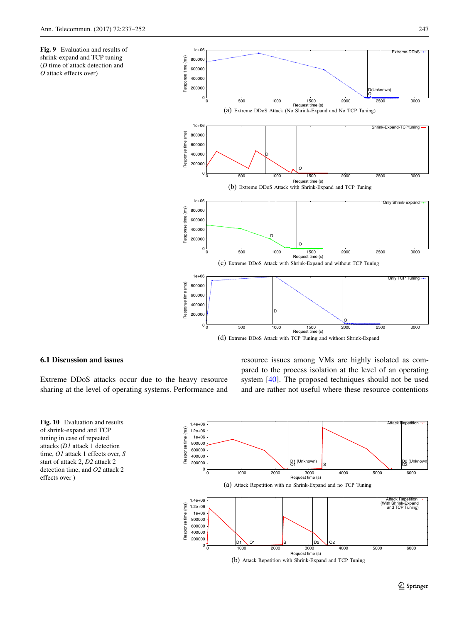<span id="page-10-1"></span>**Fig. 9** Evaluation and results of shrink-expand and TCP tuning (*D* time of attack detection and *O* attack effects over)



(d) Extreme DDoS Attack with TCP Tuning and without Shrink-Expand

## <span id="page-10-0"></span>**6.1 Discussion and issues**

Extreme DDoS attacks occur due to the heavy resource sharing at the level of operating systems. Performance and resource issues among VMs are highly isolated as compared to the process isolation at the level of an operating system [\[40\]](#page-14-11). The proposed techniques should not be used and are rather not useful where these resource contentions

<span id="page-10-2"></span>**Fig. 10** Evaluation and results of shrink-expand and TCP tuning in case of repeated attacks (*D1* attack 1 detection time, *O1* attack 1 effects over, *S* start of attack 2, *D2* attack 2 detection time, and *O2* attack 2 effects over )

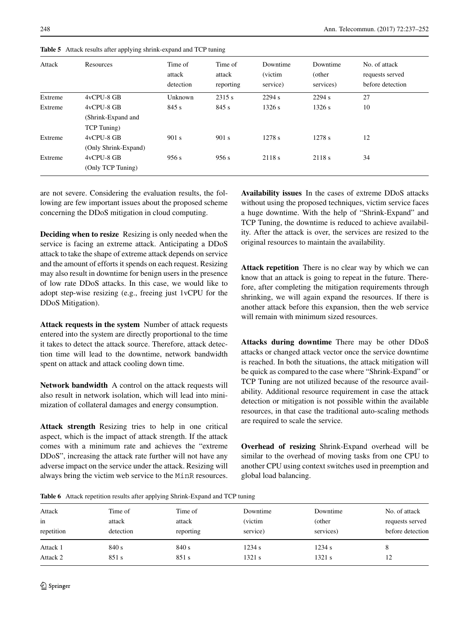| Attack  | Resources            | Time of<br>attack<br>detection | Time of<br>attack<br>reporting | Downtime<br><i>(victim)</i><br>service) | Downtime<br>(other<br>services) | No. of attack<br>requests served<br>before detection |
|---------|----------------------|--------------------------------|--------------------------------|-----------------------------------------|---------------------------------|------------------------------------------------------|
| Extreme | 4vCPU-8 GB           | Unknown                        | 2315 s                         | 2294 s                                  | 2294 s                          | 27                                                   |
| Extreme | 4vCPU-8 GB           | 845s                           | 845s                           | 1326 s                                  | 1326s                           | 10                                                   |
|         | (Shrink-Expand and   |                                |                                |                                         |                                 |                                                      |
|         | TCP Tuning)          |                                |                                |                                         |                                 |                                                      |
| Extreme | 4vCPU-8 GB           | 901 s                          | 901 s                          | 1278s                                   | 1278s                           | 12                                                   |
|         | (Only Shrink-Expand) |                                |                                |                                         |                                 |                                                      |
| Extreme | 4vCPU-8 GB           | 956 s                          | 956 s                          | 2118 s                                  | 2118 s                          | 34                                                   |
|         | (Only TCP Tuning)    |                                |                                |                                         |                                 |                                                      |

<span id="page-11-0"></span>**Table 5** Attack results after applying shrink-expand and TCP tuning

are not severe. Considering the evaluation results, the following are few important issues about the proposed scheme concerning the DDoS mitigation in cloud computing.

**Deciding when to resize** Resizing is only needed when the service is facing an extreme attack. Anticipating a DDoS attack to take the shape of extreme attack depends on service and the amount of efforts it spends on each request. Resizing may also result in downtime for benign users in the presence of low rate DDoS attacks. In this case, we would like to adopt step-wise resizing (e.g., freeing just 1vCPU for the DDoS Mitigation).

**Attack requests in the system** Number of attack requests entered into the system are directly proportional to the time it takes to detect the attack source. Therefore, attack detection time will lead to the downtime, network bandwidth spent on attack and attack cooling down time.

**Network bandwidth** A control on the attack requests will also result in network isolation, which will lead into minimization of collateral damages and energy consumption.

**Attack strength** Resizing tries to help in one critical aspect, which is the impact of attack strength. If the attack comes with a minimum rate and achieves the "extreme DDoS", increasing the attack rate further will not have any adverse impact on the service under the attack. Resizing will always bring the victim web service to the MinR resources.

**Availability issues** In the cases of extreme DDoS attacks without using the proposed techniques, victim service faces a huge downtime. With the help of "Shrink-Expand" and TCP Tuning, the downtime is reduced to achieve availability. After the attack is over, the services are resized to the original resources to maintain the availability.

**Attack repetition** There is no clear way by which we can know that an attack is going to repeat in the future. Therefore, after completing the mitigation requirements through shrinking, we will again expand the resources. If there is another attack before this expansion, then the web service will remain with minimum sized resources.

**Attacks during downtime** There may be other DDoS attacks or changed attack vector once the service downtime is reached. In both the situations, the attack mitigation will be quick as compared to the case where "Shrink-Expand" or TCP Tuning are not utilized because of the resource availability. Additional resource requirement in case the attack detection or mitigation is not possible within the available resources, in that case the traditional auto-scaling methods are required to scale the service.

**Overhead of resizing** Shrink-Expand overhead will be similar to the overhead of moving tasks from one CPU to another CPU using context switches used in preemption and global load balancing.

<span id="page-11-1"></span>**Table 6** Attack repetition results after applying Shrink-Expand and TCP tuning

| Attack     | Time of   | Time of   | Downtime        | Downtime  | No. of attack    |
|------------|-----------|-----------|-----------------|-----------|------------------|
| in         | attack    | attack    | <i>(victim)</i> | (other    | requests served  |
| repetition | detection | reporting | service)        | services) | before detection |
| Attack 1   | 840 s     | 840s      | 1234 s          | 1234 s    | 12               |
| Attack 2   | 851 s     | 851 s     | 1321 s          | 1321 s    |                  |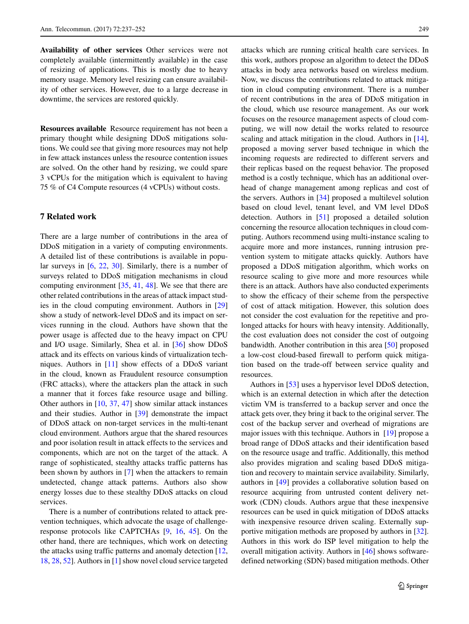**Availability of other services** Other services were not completely available (intermittently available) in the case of resizing of applications. This is mostly due to heavy memory usage. Memory level resizing can ensure availability of other services. However, due to a large decrease in downtime, the services are restored quickly.

**Resources available** Resource requirement has not been a primary thought while designing DDoS mitigations solutions. We could see that giving more resources may not help in few attack instances unless the resource contention issues are solved. On the other hand by resizing, we could spare 3 vCPUs for the mitigation which is equivalent to having 75 % of C4 Compute resources (4 vCPUs) without costs.

# <span id="page-12-0"></span>**7 Related work**

There are a large number of contributions in the area of DDoS mitigation in a variety of computing environments. A detailed list of these contributions is available in popular surveys in [\[6,](#page-14-23) [22,](#page-14-24) [30\]](#page-14-25). Similarly, there is a number of surveys related to DDoS mitigation mechanisms in cloud computing environment [\[35,](#page-14-26) [41,](#page-14-7) [48\]](#page-15-3). We see that there are other related contributions in the areas of attack impact studies in the cloud computing environment. Authors in [\[29\]](#page-14-27) show a study of network-level DDoS and its impact on services running in the cloud. Authors have shown that the power usage is affected due to the heavy impact on CPU and I/O usage. Similarly, Shea et al. in [\[36\]](#page-14-28) show DDoS attack and its effects on various kinds of virtualization techniques. Authors in [\[11\]](#page-14-4) show effects of a DDoS variant in the cloud, known as Fraudulent resource consumption (FRC attacks), where the attackers plan the attack in such a manner that it forces fake resource usage and billing. Other authors in [\[10,](#page-14-29) [37,](#page-14-30) [47\]](#page-15-4) show similar attack instances and their studies. Author in [\[39\]](#page-14-19) demonstrate the impact of DDoS attack on non-target services in the multi-tenant cloud environment. Authors argue that the shared resources and poor isolation result in attack effects to the services and components, which are not on the target of the attack. A range of sophisticated, stealthy attacks traffic patterns has been shown by authors in [\[7\]](#page-14-20) when the attackers to remain undetected, change attack patterns. Authors also show energy losses due to these stealthy DDoS attacks on cloud services.

There is a number of contributions related to attack prevention techniques, which advocate the usage of challengeresponse protocols like CAPTCHAs [\[9,](#page-14-31) [16,](#page-14-32) [45\]](#page-14-9). On the other hand, there are techniques, which work on detecting the attacks using traffic patterns and anomaly detection [\[12,](#page-14-33) [18,](#page-14-34) [28,](#page-14-35) [52\]](#page-15-5). Authors in [\[1\]](#page-13-5) show novel cloud service targeted attacks which are running critical health care services. In this work, authors propose an algorithm to detect the DDoS attacks in body area networks based on wireless medium. Now, we discuss the contributions related to attack mitigation in cloud computing environment. There is a number of recent contributions in the area of DDoS mitigation in the cloud, which use resource management. As our work focuses on the resource management aspects of cloud computing, we will now detail the works related to resource scaling and attack mitigation in the cloud. Authors in [\[14\]](#page-14-36), proposed a moving server based technique in which the incoming requests are redirected to different servers and their replicas based on the request behavior. The proposed method is a costly technique, which has an additional overhead of change management among replicas and cost of the servers. Authors in [\[34\]](#page-14-37) proposed a multilevel solution based on cloud level, tenant level, and VM level DDoS detection. Authors in [\[51\]](#page-15-1) proposed a detailed solution concerning the resource allocation techniques in cloud computing. Authors recommend using multi-instance scaling to acquire more and more instances, running intrusion prevention system to mitigate attacks quickly. Authors have proposed a DDoS mitigation algorithm, which works on resource scaling to give more and more resources while there is an attack. Authors have also conducted experiments to show the efficacy of their scheme from the perspective of cost of attack mitigation. However, this solution does not consider the cost evaluation for the repetitive and prolonged attacks for hours with heavy intensity. Additionally, the cost evaluation does not consider the cost of outgoing bandwidth. Another contribution in this area [\[50\]](#page-15-6) proposed a low-cost cloud-based firewall to perform quick mitigation based on the trade-off between service quality and resources.

Authors in [\[53\]](#page-15-2) uses a hypervisor level DDoS detection, which is an external detection in which after the detection victim VM is transferred to a backup server and once the attack gets over, they bring it back to the original server. The cost of the backup server and overhead of migrations are major issues with this technique. Authors in [\[19\]](#page-14-8) propose a broad range of DDoS attacks and their identification based on the resource usage and traffic. Additionally, this method also provides migration and scaling based DDoS mitigation and recovery to maintain service availability. Similarly, authors in [\[49\]](#page-15-0) provides a collaborative solution based on resource acquiring from untrusted content delivery network (CDN) clouds. Authors argue that these inexpensive resources can be used in quick mitigation of DDoS attacks with inexpensive resource driven scaling. Externally supportive mitigation methods are proposed by authors in [\[32\]](#page-14-38). Authors in this work do ISP level mitigation to help the overall mitigation activity. Authors in [\[46\]](#page-14-39) shows softwaredefined networking (SDN) based mitigation methods. Other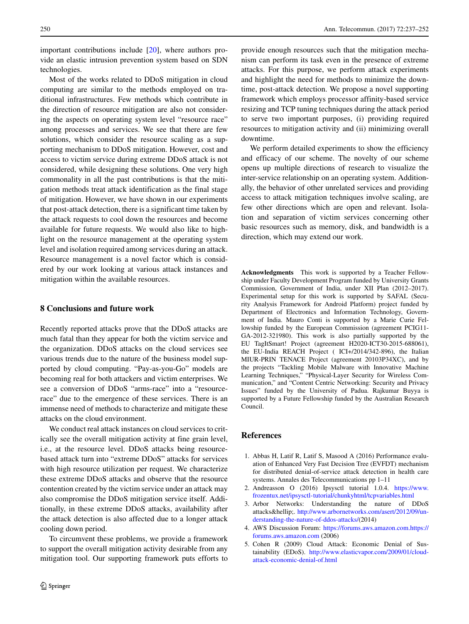important contributions include [\[20\]](#page-14-40), where authors provide an elastic intrusion prevention system based on SDN technologies.

Most of the works related to DDoS mitigation in cloud computing are similar to the methods employed on traditional infrastructures. Few methods which contribute in the direction of resource mitigation are also not considering the aspects on operating system level "resource race" among processes and services. We see that there are few solutions, which consider the resource scaling as a supporting mechanism to DDoS mitigation. However, cost and access to victim service during extreme DDoS attack is not considered, while designing these solutions. One very high commonality in all the past contributions is that the mitigation methods treat attack identification as the final stage of mitigation. However, we have shown in our experiments that post-attack detection, there is a significant time taken by the attack requests to cool down the resources and become available for future requests. We would also like to highlight on the resource management at the operating system level and isolation required among services during an attack. Resource management is a novel factor which is considered by our work looking at various attack instances and mitigation within the available resources.

## <span id="page-13-3"></span>**8 Conclusions and future work**

Recently reported attacks prove that the DDoS attacks are much fatal than they appear for both the victim service and the organization. DDoS attacks on the cloud services see various trends due to the nature of the business model supported by cloud computing. "Pay-as-you-Go" models are becoming real for both attackers and victim enterprises. We see a conversion of DDoS "arms-race" into a "resourcerace" due to the emergence of these services. There is an immense need of methods to characterize and mitigate these attacks on the cloud environment.

We conduct real attack instances on cloud services to critically see the overall mitigation activity at fine grain level, i.e., at the resource level. DDoS attacks being resourcebased attack turn into "extreme DDoS" attacks for services with high resource utilization per request. We characterize these extreme DDoS attacks and observe that the resource contention created by the victim service under an attack may also compromise the DDoS mitigation service itself. Additionally, in these extreme DDoS attacks, availability after the attack detection is also affected due to a longer attack cooling down period.

To circumvent these problems, we provide a framework to support the overall mitigation activity desirable from any mitigation tool. Our supporting framework puts efforts to provide enough resources such that the mitigation mechanism can perform its task even in the presence of extreme attacks. For this purpose, we perform attack experiments and highlight the need for methods to minimize the downtime, post-attack detection. We propose a novel supporting framework which employs processor affinity-based service resizing and TCP tuning techniques during the attack period to serve two important purposes, (i) providing required resources to mitigation activity and (ii) minimizing overall downtime.

We perform detailed experiments to show the efficiency and efficacy of our scheme. The novelty of our scheme opens up multiple directions of research to visualize the inter-service relationship on an operating system. Additionally, the behavior of other unrelated services and providing access to attack mitigation techniques involve scaling, are few other directions which are open and relevant. Isolation and separation of victim services concerning other basic resources such as memory, disk, and bandwidth is a direction, which may extend our work.

**Acknowledgments** This work is supported by a Teacher Fellowship under Faculty Development Program funded by University Grants Commission, Government of India, under XII Plan (2012–2017). Experimental setup for this work is supported by SAFAL (Security Analysis Framework for Android Platform) project funded by Department of Electronics and Information Technology, Government of India. Mauro Conti is supported by a Marie Curie Fellowship funded by the European Commission (agreement PCIG11- GA-2012-321980). This work is also partially supported by the EU TagItSmart! Project (agreement H2020-ICT30-2015-688061), the EU-India REACH Project ( ICI+/2014/342-896), the Italian MIUR-PRIN TENACE Project (agreement 20103P34XC), and by the projects "Tackling Mobile Malware with Innovative Machine Learning Techniques," "Physical-Layer Security for Wireless Communication," and "Content Centric Networking: Security and Privacy Issues" funded by the University of Padua. Rajkumar Buyya is supported by a Future Fellowship funded by the Australian Research Council.

#### **References**

- <span id="page-13-5"></span>1. Abbas H, Latif R, Latif S, Masood A (2016) Performance evaluation of Enhanced Very Fast Decision Tree (EVFDT) mechanism for distributed denial-of-service attack detection in health care systems. Annales des Telecommunications pp 1–11
- <span id="page-13-4"></span>2. Andreasson O (2016) Ipsysctl tutorial 1.0.4. [https://www.](https://www.frozentux.net/ipsysctl-tutorial/chunkyhtml/tcpvariables.html) [frozentux.net/ipsysctl-tutorial/chunkyhtml/tcpvariables.html](https://www.frozentux.net/ipsysctl-tutorial/chunkyhtml/tcpvariables.html)
- <span id="page-13-1"></span>3. Arbor Networks: Understanding the nature of DDoS attacks…. [http://www.arbornetworks.com/asert/2012/09/un](http://www.arbornetworks.com/asert/2012/09/understanding-the-nature-of-ddos-attacks/)[derstanding-the-nature-of-ddos-attacks/\(](http://www.arbornetworks.com/asert/2012/09/understanding-the-nature-of-ddos-attacks/)2014)
- <span id="page-13-2"></span>4. AWS Discussion Forum: [https://forums.aws.amazon.com.https://](https://forums.aws.amazon.com. https://forums.aws.amazon.com) [forums.aws.amazon.com](https://forums.aws.amazon.com. https://forums.aws.amazon.com) (2006)
- <span id="page-13-0"></span>5. Cohen R (2009) Cloud Attack: Economic Denial of Sustainability (EDoS). [http://www.elasticvapor.com/2009/01/cloud](http://www.elasticvapor.com/2009/01/cloud-attack-economic-denial-of.html)[attack-economic-denial-of.html](http://www.elasticvapor.com/2009/01/cloud-attack-economic-denial-of.html)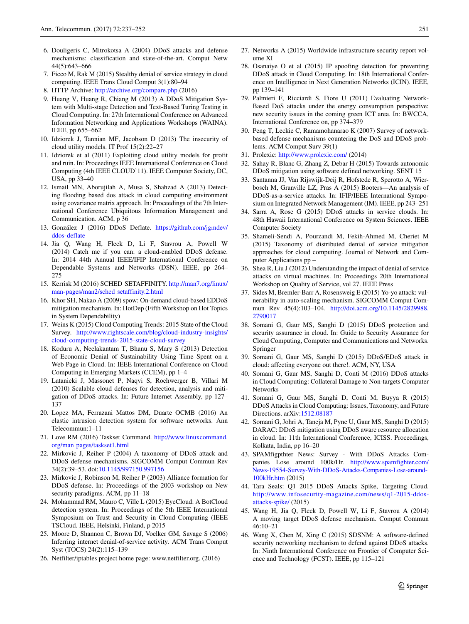- <span id="page-14-23"></span>6. Douligeris C, Mitrokotsa A (2004) DDoS attacks and defense mechanisms: classification and state-of-the-art. Comput Netw 44(5):643–666
- <span id="page-14-20"></span>7. Ficco M, Rak M (2015) Stealthy denial of service strategy in cloud computing. IEEE Trans Cloud Comput 3(1):80–94
- <span id="page-14-18"></span>8. HTTP Archive: [http://archive.org/compare.php](http://archive.org/compare.php ) (2016)
- <span id="page-14-31"></span>9. Huang V, Huang R, Chiang M (2013) A DDoS Mitigation System with Multi-stage Detection and Text-Based Turing Testing in Cloud Computing. In: 27th International Conference on Advanced Information Networking and Applications Workshops (WAINA). IEEE, pp 655–662
- <span id="page-14-29"></span>10. Idziorek J, Tannian MF, Jacobson D (2013) The insecurity of cloud utility models. IT Prof 15(2):22–27
- <span id="page-14-4"></span>11. Idziorek et al (2011) Exploiting cloud utility models for profit and ruin. In: Proceedings IEEE International Conference on Cloud Computing (4th IEEE CLOUD'11). IEEE Computer Society, DC, USA, pp 33–40
- <span id="page-14-33"></span>12. Ismail MN, Aborujilah A, Musa S, Shahzad A (2013) Detecting flooding based dos attack in cloud computing environment using covariance matrix approach. In: Proceedings of the 7th International Conference Ubiquitous Information Management and Communication. ACM, p 36
- <span id="page-14-17"></span>13. González J (2016) DDoS Deflate. [https://github.com/jgmdev/](https://github.com/jgmdev/ddos-deflate) [ddos-deflate](https://github.com/jgmdev/ddos-deflate)
- <span id="page-14-36"></span>14. Jia Q, Wang H, Fleck D, Li F, Stavrou A, Powell W (2014) Catch me if you can: a cloud-enabled DDoS defense. In: 2014 44th Annual IEEE/IFIP International Conference on Dependable Systems and Networks (DSN). IEEE, pp 264– 275
- <span id="page-14-21"></span>15. Kerrisk M (2016) SCHED SETAFFINITY. [http://man7.org/linux/](http://man7.org/linux/man-pages/man2/sched_setaffinity.2.html) [man-pages/man2/sched](http://man7.org/linux/man-pages/man2/sched_setaffinity.2.html) setaffinity.2.html
- <span id="page-14-32"></span>16. Khor SH, Nakao A (2009) spow: On-demand cloud-based EDDoS mitigation mechanism. In: HotDep (Fifth Workshop on Hot Topics in System Dependability)
- <span id="page-14-14"></span>17. Weins K (2015) Cloud Computing Trends: 2015 State of the Cloud Survey. [http://www.rightscale.com/blog/cloud-industry-insights/](http://www.rightscale.com/blog/cloud-industry-insights/cloud-computing-trends-2015-state-cloud-survey) [cloud-computing-trends-2015-state-cloud-survey](http://www.rightscale.com/blog/cloud-industry-insights/cloud-computing-trends-2015-state-cloud-survey)
- <span id="page-14-34"></span>18. Koduru A, Neelakantam T, Bhanu S, Mary S (2013) Detection of Economic Denial of Sustainability Using Time Spent on a Web Page in Cloud. In: IEEE International Conference on Cloud Computing in Emerging Markets (CCEM), pp 1–4
- <span id="page-14-8"></span>19. Latanicki J, Massonet P, Naqvi S, Rochwerger B, Villari M (2010) Scalable cloud defenses for detection, analysis and mitigation of DDoS attacks. In: Future Internet Assembly, pp 127– 137
- <span id="page-14-40"></span>20. Lopez MA, Ferrazani Mattos DM, Duarte OCMB (2016) An elastic intrusion detection system for software networks. Ann Telecommun:1–11
- <span id="page-14-22"></span>21. Love RM (2016) Taskset Command. [http://www.linuxcommand.](http://www.linuxcommand.org/man_pages/taskset1.html) org/man [pages/taskset1.html](http://www.linuxcommand.org/man_pages/taskset1.html)
- <span id="page-14-24"></span>22. Mirkovic J, Reiher P (2004) A taxonomy of DDoS attack and DDoS defense mechanisms. SIGCOMM Comput Commun Rev 34(2):39–53. doi[:10.1145/997150.997156](http://dx.doi.org/10.1145/997150.997156)
- <span id="page-14-3"></span>23. Mirkovic J, Robinson M, Reiher P (2003) Alliance formation for DDoS defense. In: Proceedings of the 2003 workshop on New security paradigms. ACM, pp 11–18
- <span id="page-14-2"></span>24. Mohammad RM, Mauro C, Ville L (2015) EyeCloud: A BotCloud detection system. In: Proceedings of the 5th IEEE International Symposium on Trust and Security in Cloud Computing (IEEE TSCloud. IEEE, Helsinki, Finland, p 2015
- <span id="page-14-16"></span>25. Moore D, Shannon C, Brown DJ, Voelker GM, Savage S (2006) Inferring internet denial-of-service activity. ACM Trans Comput Syst (TOCS) 24(2):115–139
- <span id="page-14-15"></span>26. Netfilter/iptables project home page: www.netfilter.org. (2016)
- <span id="page-14-6"></span>27. Networks A (2015) Worldwide infrastructure security report volume XI
- <span id="page-14-35"></span>28. Osanaiye O et al (2015) IP spoofing detection for preventing DDoS attack in Cloud Computing. In: 18th International Conference on Intelligence in Next Generation Networks (ICIN). IEEE, pp 139–141
- <span id="page-14-27"></span>29. Palmieri F, Ricciardi S, Fiore U (2011) Evaluating Network-Based DoS attacks under the energy consumption perspective: new security issues in the coming green ICT area. In: BWCCA, International Conference on, pp 374–379
- <span id="page-14-25"></span>30. Peng T, Leckie C, Ramamohanarao K (2007) Survey of networkbased defense mechanisms countering the DoS and DDoS problems. ACM Comput Surv 39(1)
- <span id="page-14-5"></span>31. Prolexic: <http://www.prolexic.com/> (2014)
- <span id="page-14-38"></span>32. Sahay R, Blanc G, Zhang Z, Debar H (2015) Towards autonomic DDoS mitigation using software defined networking. SENT 15
- <span id="page-14-1"></span>33. Santanna JJ, Van Rijswijk-Deij R, Hofstede R, Sperotto A, Wierbosch M, Granville LZ, Pras A (2015) Booters—An analysis of DDoS-as-a-service attacks. In: IFIP/IEEE International Symposium on Integrated Network Management (IM). IEEE, pp 243–251
- <span id="page-14-37"></span>34. Sarra A, Rose G (2015) DDoS attacks in service clouds. In: 48th Hawaii International Conference on System Sciences. IEEE Computer Society
- <span id="page-14-26"></span>35. Shameli-Sendi A, Pourzandi M, Fekih-Ahmed M, Cheriet M (2015) Taxonomy of distributed denial of service mitigation approaches for cloud computing. Journal of Network and Computer Applications pp –
- <span id="page-14-28"></span>36. Shea R, Liu J (2012) Understanding the impact of denial of service attacks on virtual machines. In: Proceedings 20th International Workshop on Quality of Service, vol 27. IEEE Press
- <span id="page-14-30"></span>37. Sides M, Bremler-Barr A, Rosensweig E (2015) Yo-yo attack: vulnerability in auto-scaling mechanism. SIGCOMM Comput Commun Rev 45(4):103–104. [http://doi.acm.org/10.1145/2829988.](http://doi.acm.org/10.1145/2829988.2790017) [2790017](http://doi.acm.org/10.1145/2829988.2790017)
- <span id="page-14-12"></span>38. Somani G, Gaur MS, Sanghi D (2015) DDoS protection and security assurance in cloud. In: Guide to Security Assurance for Cloud Computing, Computer and Communications and Networks. Springer
- <span id="page-14-19"></span>39. Somani G, Gaur MS, Sanghi D (2015) DDoS/EDoS attack in cloud: affecting everyone out there!. ACM, NY, USA
- <span id="page-14-11"></span>40. Somani G, Gaur MS, Sanghi D, Conti M (2016) DDoS attacks in Cloud Computing: Collateral Damage to Non-targets Computer Networks
- <span id="page-14-7"></span>41. Somani G, Gaur MS, Sanghi D, Conti M, Buyya R (2015) DDoS Attacks in Cloud Computing: Issues, Taxonomy, and Future Directions. arXiv[:1512.08187](http://arXiv.org/abs/1512.08187)
- <span id="page-14-10"></span>42. Somani G, Johri A, Taneja M, Pyne U, Gaur MS, Sanghi D (2015) DARAC: DDoS mitigation using DDoS aware resource allocation in cloud. In: 11th International Conference, ICISS. Proceedings, Kolkata, India, pp 16–20
- <span id="page-14-13"></span>43. SPAMfigpthter News: Survey - With DDoS Attacks Companies Lose around 100k/Hr. [http://www.spamfighter.com/](http://www.spamfighter.com/News-19554-Survey-With-DDoS-Attacks-Companies-Lose-around-100kHr.htm) [News-19554-Survey-With-DDoS-Attacks-Companies-Lose-around-](http://www.spamfighter.com/News-19554-Survey-With-DDoS-Attacks-Companies-Lose-around-100kHr.htm)[100kHr.htm](http://www.spamfighter.com/News-19554-Survey-With-DDoS-Attacks-Companies-Lose-around-100kHr.htm) (2015)
- <span id="page-14-0"></span>44. Tara Seals: Q1 2015 DDoS Attacks Spike, Targeting Cloud. [http://www.infosecurity-magazine.com/news/q1-2015-ddos](http://www.infosecurity-magazine.com/news/q1-2015-ddos-attacks-spike/)[attacks-spike/](http://www.infosecurity-magazine.com/news/q1-2015-ddos-attacks-spike/) (2015)
- <span id="page-14-9"></span>45. Wang H, Jia Q, Fleck D, Powell W, Li F, Stavrou A (2014) A moving target DDoS defense mechanism. Comput Commun 46:10–21
- <span id="page-14-39"></span>46. Wang X, Chen M, Xing C (2015) SDSNM: A software-defined security networking mechanism to defend against DDoS attacks. In: Ninth International Conference on Frontier of Computer Science and Technology (FCST). IEEE, pp 115–121